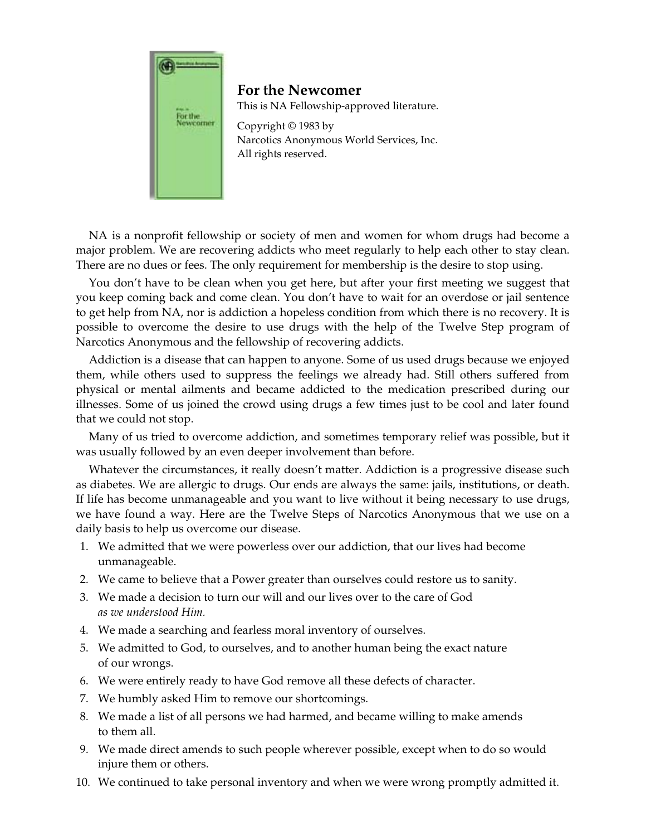

**For the Newcomer** 

This is NA Fellowship-approved literature.

Copyright © 1983 by Narcotics Anonymous World Services, Inc. All rights reserved.

NA is a nonprofit fellowship or society of men and women for whom drugs had become a major problem. We are recovering addicts who meet regularly to help each other to stay clean. There are no dues or fees. The only requirement for membership is the desire to stop using.

You don't have to be clean when you get here, but after your first meeting we suggest that you keep coming back and come clean. You don't have to wait for an overdose or jail sentence to get help from NA, nor is addiction a hopeless condition from which there is no recovery. It is possible to overcome the desire to use drugs with the help of the Twelve Step program of Narcotics Anonymous and the fellowship of recovering addicts.

Addiction is a disease that can happen to anyone. Some of us used drugs because we enjoyed them, while others used to suppress the feelings we already had. Still others suffered from physical or mental ailments and became addicted to the medication prescribed during our illnesses. Some of us joined the crowd using drugs a few times just to be cool and later found that we could not stop.

Many of us tried to overcome addiction, and sometimes temporary relief was possible, but it was usually followed by an even deeper involvement than before.

Whatever the circumstances, it really doesn't matter. Addiction is a progressive disease such as diabetes. We are allergic to drugs. Our ends are always the same: jails, institutions, or death. If life has become unmanageable and you want to live without it being necessary to use drugs, we have found a way. Here are the Twelve Steps of Narcotics Anonymous that we use on a daily basis to help us overcome our disease.

- 1. We admitted that we were powerless over our addiction, that our lives had become unmanageable.
- 2. We came to believe that a Power greater than ourselves could restore us to sanity.
- 3. We made a decision to turn our will and our lives over to the care of God *as we understood Him.*
- 4. We made a searching and fearless moral inventory of ourselves.
- 5. We admitted to God, to ourselves, and to another human being the exact nature of our wrongs.
- 6. We were entirely ready to have God remove all these defects of character.
- 7. We humbly asked Him to remove our shortcomings.
- 8. We made a list of all persons we had harmed, and became willing to make amends to them all.
- 9. We made direct amends to such people wherever possible, except when to do so would injure them or others.
- 10. We continued to take personal inventory and when we were wrong promptly admitted it.